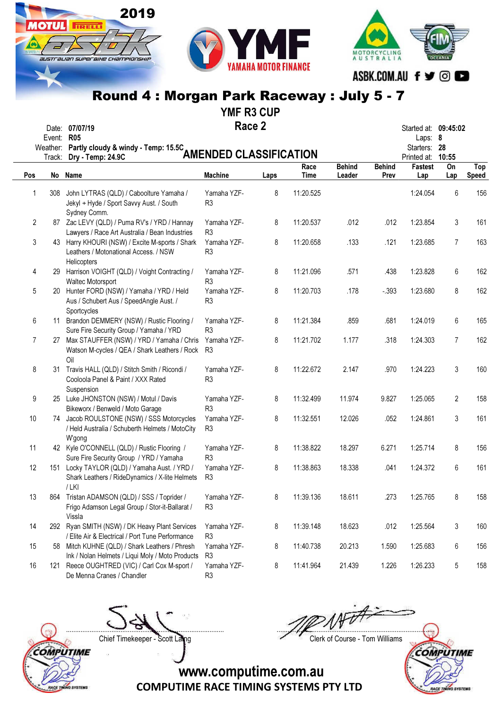2019

**TIRELLI** 

SUSTE ALIAN SUPEE BIHE CHAMPIONSHIP

**OTHL** 

YMF R3 CUP

Race 2 Date: 07/07/19 Started at: 09:45:02

|     | Event: R05<br>Weather:<br>Track: | Partly cloudy & windy - Temp: 15.5C<br>Dry - Temp: 24.9C                                                | <b>AMENDED CLASSIFICATION</b> |      |                     |                         |                       | Laps: 8<br>Starters:<br>Printed at: 10:55 | -28            |                            |
|-----|----------------------------------|---------------------------------------------------------------------------------------------------------|-------------------------------|------|---------------------|-------------------------|-----------------------|-------------------------------------------|----------------|----------------------------|
| Pos | No                               | <b>Name</b>                                                                                             | <b>Machine</b>                | Laps | Race<br><b>Time</b> | <b>Behind</b><br>Leader | <b>Behind</b><br>Prev | <b>Fastest</b><br>Lap                     | On<br>Lap      | <b>Top</b><br><b>Speed</b> |
| 1   | 308                              | John LYTRAS (QLD) / Caboolture Yamaha /<br>Jekyl + Hyde / Sport Savvy Aust. / South<br>Sydney Comm.     | Yamaha YZF-<br>R <sub>3</sub> | 8    | 11:20.525           |                         |                       | 1:24.054                                  | 6              | 156                        |
| 2   |                                  | 87 Zac LEVY (QLD) / Puma RV's / YRD / Hannay<br>Lawyers / Race Art Australia / Bean Industries          | Yamaha YZF-<br>R <sub>3</sub> | 8    | 11:20.537           | .012                    | .012                  | 1:23.854                                  | 3              | 161                        |
| 3   |                                  | 43 Harry KHOURI (NSW) / Excite M-sports / Shark<br>Leathers / Motonational Access. / NSW<br>Helicopters | Yamaha YZF-<br>R3             | 8    | 11:20.658           | .133                    | .121                  | 1:23.685                                  | 7              | 163                        |
| 4   | 29                               | Harrison VOIGHT (QLD) / Voight Contracting /<br>Waltec Motorsport                                       | Yamaha YZF-<br>R <sub>3</sub> | 8    | 11:21.096           | .571                    | .438                  | 1:23.828                                  | 6              | 162                        |
| 5   | 20                               | Hunter FORD (NSW) / Yamaha / YRD / Held<br>Aus / Schubert Aus / SpeedAngle Aust. /<br>Sportcycles       | Yamaha YZF-<br>R <sub>3</sub> | 8    | 11:20.703           | .178                    | $-.393$               | 1:23.680                                  | 8              | 162                        |
| 6   | 11                               | Brandon DEMMERY (NSW) / Rustic Flooring /<br>Sure Fire Security Group / Yamaha / YRD                    | Yamaha YZF-<br>R <sub>3</sub> | 8    | 11:21.384           | .859                    | .681                  | 1:24.019                                  | 6              | 165                        |
| 7   | 27                               | Max STAUFFER (NSW) / YRD / Yamaha / Chris<br>Watson M-cycles / QEA / Shark Leathers / Rock<br>Oil       | Yamaha YZF-<br>R <sub>3</sub> | 8    | 11:21.702           | 1.177                   | .318                  | 1:24.303                                  | $\overline{7}$ | 162                        |
| 8   |                                  | 31 Travis HALL (QLD) / Stitch Smith / Ricondi /<br>Cooloola Panel & Paint / XXX Rated<br>Suspension     | Yamaha YZF-<br>R <sub>3</sub> | 8    | 11:22.672           | 2.147                   | .970                  | 1:24.223                                  | 3              | 160                        |
| 9   |                                  | 25 Luke JHONSTON (NSW) / Motul / Davis<br>Bikeworx / Benweld / Moto Garage                              | Yamaha YZF-<br>R <sub>3</sub> | 8    | 11:32.499           | 11.974                  | 9.827                 | 1:25.065                                  | $\overline{2}$ | 158                        |
| 10  |                                  | 74 Jacob ROULSTONE (NSW) / SSS Motorcycles<br>/ Held Australia / Schuberth Helmets / MotoCity<br>W'gong | Yamaha YZF-<br>R <sub>3</sub> | 8    | 11:32.551           | 12.026                  | .052                  | 1:24.861                                  | 3              | 161                        |
| 11  |                                  | 42 Kyle O'CONNELL (QLD) / Rustic Flooring /<br>Sure Fire Security Group / YRD / Yamaha                  | Yamaha YZF-<br>R <sub>3</sub> | 8    | 11:38.822           | 18.297                  | 6.271                 | 1:25.714                                  | 8              | 156                        |
| 12  | 151                              | Locky TAYLOR (QLD) / Yamaha Aust. / YRD /<br>Shark Leathers / RideDynamics / X-lite Helmets<br>$/$ LKI  | Yamaha YZF-<br>R <sub>3</sub> | 8    | 11:38.863           | 18.338                  | .041                  | 1:24.372                                  | 6              | 161                        |
| 13  | 864                              | Tristan ADAMSON (QLD) / SSS / Toprider /<br>Frigo Adamson Legal Group / Stor-it-Ballarat /<br>Vissla    | Yamaha YZF-<br>R <sub>3</sub> | 8    | 11:39.136           | 18.611                  | .273                  | 1:25.765                                  | 8              | 158                        |
| 14  | 292                              | Ryan SMITH (NSW) / DK Heavy Plant Services<br>/ Elite Air & Electrical / Port Tune Performance          | Yamaha YZF-<br>R <sub>3</sub> | 8    | 11:39.148           | 18.623                  | .012                  | 1:25.564                                  | 3              | 160                        |
| 15  |                                  | 58 Mitch KUHNE (QLD) / Shark Leathers / Phresh<br>Ink / Nolan Helmets / Liqui Moly / Moto Products      | Yamaha YZF-<br>R <sub>3</sub> | 8    | 11:40.738           | 20.213                  | 1.590                 | 1:25.683                                  | 6              | 156                        |
| 16  | 121                              | Reece OUGHTRED (VIC) / Carl Cox M-sport /<br>De Menna Cranes / Chandler                                 | Yamaha YZF-<br>R <sub>3</sub> | 8    | 11:41.964           | 21.439                  | 1.226                 | 1:26.233                                  | 5              | 158                        |



Chief Timekeeper - Scott Laing Chief Timekeeper - Scott Laing



COMPUTIME RACE TINUNG SYSTEMS

COMPUTIME RACE TIMING SYSTEMS PTY LTD www.computime.com.au

MOTORCYCLING<br>AUSTRALIA

ASBK.COM.AU f y @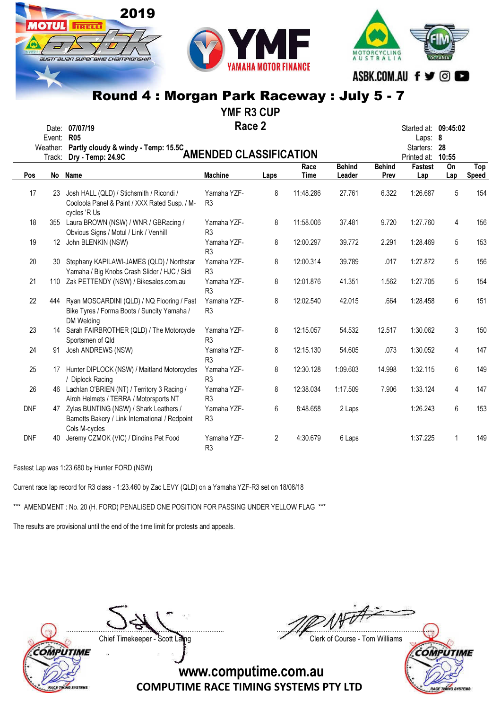YMF R3 CUP

Race 2 Date: 07/07/19 **Started at: 09:45:02** Race 2 Started at: 09:45:02<br>
Fvent: R05 Started at: 09:45:02

2019

**TRELL** 

IUSTI aLIAN SUPERBIHE CHAMPIONSHII

|            | Event:   | <b>R05</b>                                                                                              |                               |      |             |               |               | Laps: 8                       |             |                     |
|------------|----------|---------------------------------------------------------------------------------------------------------|-------------------------------|------|-------------|---------------|---------------|-------------------------------|-------------|---------------------|
|            | Weather: | Partly cloudy & windy - Temp: 15.5C                                                                     | <b>AMENDED CLASSIFICATION</b> |      |             |               |               | Starters:                     | -28         |                     |
|            | Track:   | Dry - Temp: 24.9C                                                                                       |                               |      | Race        | <b>Behind</b> | <b>Behind</b> | Printed at:<br><b>Fastest</b> | 10:55<br>On |                     |
| <b>Pos</b> | No       | Name                                                                                                    | <b>Machine</b>                | Laps | <b>Time</b> | Leader        | Prev          | Lap                           | Lap         | Top<br><b>Speed</b> |
|            |          |                                                                                                         |                               |      |             |               |               |                               |             |                     |
| 17         | 23       | Josh HALL (QLD) / Stichsmith / Ricondi /<br>Cooloola Panel & Paint / XXX Rated Susp. / M-               | Yamaha YZF-<br>R <sub>3</sub> | 8    | 11:48.286   | 27.761        | 6.322         | 1:26.687                      | 5           | 154                 |
|            |          | cycles 'R Us                                                                                            |                               |      |             |               |               |                               |             |                     |
| 18         |          | 355 Laura BROWN (NSW) / WNR / GBRacing /                                                                | Yamaha YZF-                   | 8    | 11:58.006   | 37.481        | 9.720         | 1:27.760                      | 4           | 156                 |
|            |          | Obvious Signs / Motul / Link / Venhill                                                                  | R <sub>3</sub>                |      |             |               |               |                               |             |                     |
| 19         |          | 12 John BLENKIN (NSW)                                                                                   | Yamaha YZF-<br>R <sub>3</sub> | 8    | 12:00.297   | 39.772        | 2.291         | 1:28.469                      | 5           | 153                 |
| 20         | 30       | Stephany KAPILAWI-JAMES (QLD) / Northstar<br>Yamaha / Big Knobs Crash Slider / HJC / Sidi               | Yamaha YZF-<br>R <sub>3</sub> | 8    | 12:00.314   | 39.789        | .017          | 1:27.872                      | 5           | 156                 |
| 21         | 110      | Zak PETTENDY (NSW) / Bikesales.com.au                                                                   | Yamaha YZF-<br>R <sub>3</sub> | 8    | 12:01.876   | 41.351        | 1.562         | 1:27.705                      | 5           | 154                 |
| 22         | 444      | Ryan MOSCARDINI (QLD) / NQ Flooring / Fast<br>Bike Tyres / Forma Boots / Suncity Yamaha /<br>DM Welding | Yamaha YZF-<br>R <sub>3</sub> | 8    | 12:02.540   | 42.015        | .664          | 1:28.458                      | 6           | 151                 |
| 23         | 14       | Sarah FAIRBROTHER (QLD) / The Motorcycle<br>Sportsmen of Qld                                            | Yamaha YZF-<br>R <sub>3</sub> | 8    | 12:15.057   | 54.532        | 12.517        | 1:30.062                      | 3           | 150                 |
| 24         | 91       | Josh ANDREWS (NSW)                                                                                      | Yamaha YZF-<br>R <sub>3</sub> | 8    | 12:15.130   | 54.605        | .073          | 1:30.052                      | 4           | 147                 |
| 25         | 17       | Hunter DIPLOCK (NSW) / Maitland Motorcycles<br><b>Diplock Racing</b>                                    | Yamaha YZF-<br>R <sub>3</sub> | 8    | 12:30.128   | 1:09.603      | 14.998        | 1:32.115                      | 6           | 149                 |
| 26         |          | 46 Lachlan O'BRIEN (NT) / Territory 3 Racing /<br>Airoh Helmets / TERRA / Motorsports NT                | Yamaha YZF-<br>R <sub>3</sub> | 8    | 12:38.034   | 1:17.509      | 7.906         | 1:33.124                      | 4           | 147                 |
| <b>DNF</b> | 47       | Zylas BUNTING (NSW) / Shark Leathers /<br>Barnetts Bakery / Link International / Redpoint               | Yamaha YZF-<br>R <sub>3</sub> | 6    | 8:48.658    | 2 Laps        |               | 1:26.243                      | 6           | 153                 |
| <b>DNF</b> | 40       | Cols M-cycles<br>Jeremy CZMOK (VIC) / Dindins Pet Food                                                  | Yamaha YZF-<br>R <sub>3</sub> | 2    | 4:30.679    | 6 Laps        |               | 1:37.225                      | 1           | 149                 |

Fastest Lap was 1:23.680 by Hunter FORD (NSW)

Current race lap record for R3 class - 1:23.460 by Zac LEVY (QLD) on a Yamaha YZF-R3 set on 18/08/18

\*\*\* AMENDMENT : No. 20 (H. FORD) PENALISED ONE POSITION FOR PASSING UNDER YELLOW FLAG \*\*\*

The results are provisional until the end of the time limit for protests and appeals.

**OMPUTIME VO SYSTEM** 

....................................................................................... ....................................................................................... Chief Timekeeper - Scott Laing Chief Timekeeper - Scott Laing

MOTORCYCLING<br>AUSTRALIA

ASBK.COM.AU f y © O

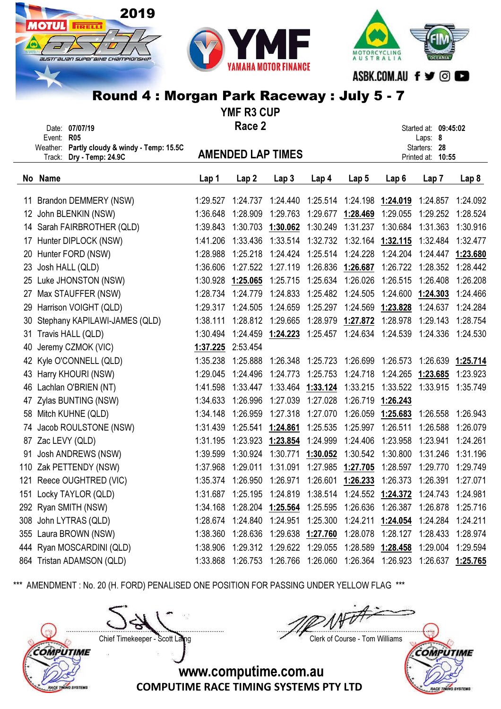





#### Round 4 : Morgan Park Raceway : July 5 - 7 VME D<sub>2</sub> CUP

|    | <b>TIME RJ VUF</b> |                                                                          |          |                   |                                                                                     |          |                   |                                        |                                   |          |  |  |  |
|----|--------------------|--------------------------------------------------------------------------|----------|-------------------|-------------------------------------------------------------------------------------|----------|-------------------|----------------------------------------|-----------------------------------|----------|--|--|--|
|    |                    | Date: 07/07/19                                                           |          | Race 2            |                                                                                     |          |                   |                                        | Started at: 09:45:02              |          |  |  |  |
|    | Event: R05         |                                                                          |          |                   |                                                                                     |          |                   |                                        | Laps: 8                           |          |  |  |  |
|    |                    | Weather: Partly cloudy & windy - Temp: 15.5C<br>Track: Dry - Temp: 24.9C |          |                   | <b>AMENDED LAP TIMES</b>                                                            |          |                   |                                        | Starters: 28<br>Printed at: 10:55 |          |  |  |  |
|    |                    |                                                                          |          |                   |                                                                                     |          |                   |                                        |                                   |          |  |  |  |
| No | Name               |                                                                          | Lap 1    | Lap <sub>2</sub>  | Lap <sub>3</sub>                                                                    | Lap 4    | Lap <sub>5</sub>  | Lap 6                                  | Lap 7                             | Lap 8    |  |  |  |
| 11 |                    | Brandon DEMMERY (NSW)                                                    | 1:29.527 | 1:24.737          | 1:24.440                                                                            | 1:25.514 | 1:24.198          | 1:24.019                               | 1:24.857                          | 1:24.092 |  |  |  |
| 12 |                    | John BLENKIN (NSW)                                                       | 1:36.648 | 1:28.909          | 1:29.763                                                                            | 1:29.677 | 1:28.469          | 1:29.055                               | 1:29.252                          | 1:28.524 |  |  |  |
| 14 |                    | Sarah FAIRBROTHER (QLD)                                                  | 1:39.843 | 1:30.703          | 1:30.062                                                                            | 1:30.249 | 1:31.237          | 1:30.684                               | 1:31.363                          | 1:30.916 |  |  |  |
| 17 |                    | Hunter DIPLOCK (NSW)                                                     | 1:41.206 | 1:33.436          | 1:33.514                                                                            | 1:32.732 | 1:32.164          | 1:32.115                               | 1:32.484                          | 1:32.477 |  |  |  |
| 20 |                    | Hunter FORD (NSW)                                                        | 1:28.988 | 1:25.218          | 1:24.424                                                                            | 1:25.514 | 1:24.228          | 1:24.204                               | 1:24.447                          | 1:23.680 |  |  |  |
| 23 |                    | Josh HALL (QLD)                                                          | 1:36.606 | 1:27.522          | 1:27.119                                                                            | 1:26.836 | 1:26.687          | 1:26.722                               | 1:28.352                          | 1:28.442 |  |  |  |
| 25 |                    | Luke JHONSTON (NSW)                                                      | 1:30.928 | 1:25.065          | 1:25.715                                                                            | 1:25.634 | 1:26.026          | 1:26.515                               | 1:26.408                          | 1:26.208 |  |  |  |
| 27 |                    | Max STAUFFER (NSW)                                                       | 1:28.734 | 1:24.779          | 1:24.833                                                                            | 1:25.482 | 1:24.505          | 1:24.600                               | 1:24.303                          | 1:24.466 |  |  |  |
| 29 |                    | Harrison VOIGHT (QLD)                                                    | 1:29.317 | 1:24.505          | 1:24.659                                                                            | 1:25.297 | 1:24.569          | 1:23.828                               | 1:24.637                          | 1:24.284 |  |  |  |
| 30 |                    | Stephany KAPILAWI-JAMES (QLD)                                            | 1:38.111 | 1:28.812          | 1:29.665                                                                            | 1:28.979 | 1:27.872          | 1:28.978                               | 1:29.143                          | 1:28.754 |  |  |  |
| 31 |                    | Travis HALL (QLD)                                                        | 1:30.494 | 1:24.459          | 1:24.223                                                                            |          | 1:25.457 1:24.634 | 1:24.539                               | 1:24.336                          | 1:24.530 |  |  |  |
| 40 |                    | Jeremy CZMOK (VIC)                                                       | 1:37.225 | 2:53.454          |                                                                                     |          |                   |                                        |                                   |          |  |  |  |
|    |                    | 42 Kyle O'CONNELL (QLD)                                                  | 1:35.238 | 1:25.888          | 1:26.348                                                                            | 1:25.723 | 1:26.699          | 1:26.573                               | 1:26.639                          | 1:25.714 |  |  |  |
| 43 |                    | Harry KHOURI (NSW)                                                       | 1:29.045 | 1:24.496          | 1:24.773                                                                            | 1:25.753 | 1:24.718          | 1:24.265                               | 1:23.685                          | 1:23.923 |  |  |  |
|    |                    | 46 Lachlan O'BRIEN (NT)                                                  | 1:41.598 | 1:33.447          | 1:33.464                                                                            | 1:33.124 | 1:33.215          | 1:33.522                               | 1:33.915                          | 1:35.749 |  |  |  |
| 47 |                    | Zylas BUNTING (NSW)                                                      | 1:34.633 | 1:26.996          | 1:27.039                                                                            | 1:27.028 | 1:26.719          | 1:26.243                               |                                   |          |  |  |  |
| 58 |                    | Mitch KUHNE (QLD)                                                        | 1:34.148 | 1:26.959          | 1:27.318                                                                            | 1:27.070 | 1:26.059          | 1:25.683                               | 1:26.558                          | 1:26.943 |  |  |  |
|    |                    | 74 Jacob ROULSTONE (NSW)                                                 | 1:31.439 | 1:25.541          | 1:24.861                                                                            | 1:25.535 | 1:25.997          | 1:26.511                               | 1:26.588                          | 1:26.079 |  |  |  |
|    |                    | 87 Zac LEVY (QLD)                                                        | 1:31.195 | 1:23.923          | 1:23.854                                                                            | 1:24.999 | 1:24.406          | 1:23.958                               | 1:23.941                          | 1:24.261 |  |  |  |
| 91 |                    | Josh ANDREWS (NSW)                                                       | 1:39.599 | 1:30.924          | 1:30.771                                                                            | 1:30.052 | 1:30.542          | 1:30.800                               | 1:31.246                          | 1:31.196 |  |  |  |
|    |                    | 110 Zak PETTENDY (NSW)                                                   | 1:37.968 | 1:29.011          | 1:31.091                                                                            | 1:27.985 | 1:27.705          | 1:28.597                               | 1:29.770                          | 1:29.749 |  |  |  |
|    |                    | 121 Reece OUGHTRED (VIC)                                                 | 1:35.374 | 1:26.950          | 1:26.971                                                                            | 1:26.601 | 1:26.233          | 1:26.373                               | 1:26.391                          | 1:27.071 |  |  |  |
|    |                    | 151 Locky TAYLOR (QLD)                                                   |          |                   | 1:31.687  1:25.195  1:24.819  1:38.514  1:24.552 <u>1:24.372</u> 1:24.743  1:24.981 |          |                   |                                        |                                   |          |  |  |  |
|    |                    | 292 Ryan SMITH (NSW)                                                     | 1:34.168 |                   | 1:28.204 1:25.564                                                                   |          |                   | 1:25.595  1:26.636  1:26.387  1:26.878 |                                   | 1:25.716 |  |  |  |
|    |                    | 308 John LYTRAS (QLD)                                                    | 1:28.674 | 1:24.840          | 1:24.951                                                                            | 1:25.300 |                   |                                        |                                   | 1:24.211 |  |  |  |
|    |                    | 355 Laura BROWN (NSW)                                                    | 1:38.360 | 1:28.636          | 1:29.638                                                                            | 1:27.760 |                   | 1:28.078 1:28.127 1:28.433             |                                   | 1:28.974 |  |  |  |
|    |                    | 444 Ryan MOSCARDINI (QLD)                                                | 1:38.906 | 1:29.312 1:29.622 |                                                                                     | 1:29.055 |                   | 1:28.589 1:28.458                      | 1:29.004 1:29.594                 |          |  |  |  |
|    |                    | 864 Tristan ADAMSON (QLD)                                                | 1:33.868 | 1:26.753          | 1:26.766                                                                            | 1:26.060 |                   | 1:26.364  1:26.923  1:26.637  1:25.765 |                                   |          |  |  |  |

\*\*\* AMENDMENT : No. 20 (H. FORD) PENALISED ONE POSITION FOR PASSING UNDER YELLOW FLAG \*\*\*

....................................................................................... .......................................................................................



Chief Timekeeper - Scott Laing Chief Timekeeper - Scott Laing

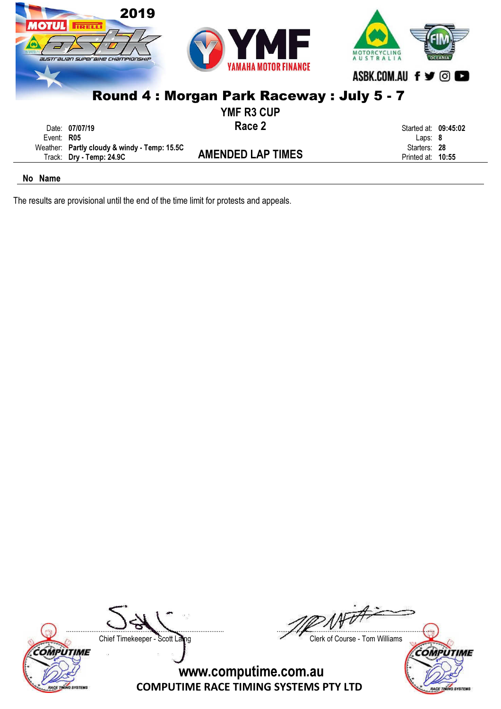| иотиг        | 2019<br><b>TRELLI</b><br><b>australian superaixe Championship</b>        | MF<br>7<br><b>YAMAHA MOTOR FINANCE</b>   | ASBK.COM.AU f y ©                 |
|--------------|--------------------------------------------------------------------------|------------------------------------------|-----------------------------------|
|              |                                                                          | Round 4: Morgan Park Raceway: July 5 - 7 |                                   |
|              |                                                                          | <b>YMF R3 CUP</b>                        |                                   |
| Event: $R05$ | Date: 07/07/19                                                           | Race 2                                   | Started at: 09:45:02<br>Laps: $8$ |
|              | Weather: Partly cloudy & windy - Temp: 15.5C<br>Track: Dry - Temp: 24.9C | <b>AMENDED LAP TIMES</b>                 | Starters: 28<br>Printed at: 10:55 |
|              |                                                                          |                                          |                                   |

The results are provisional until the end of the time limit for protests and appeals.





....................................................................................... ....................................................................................... Chief Timekeeper - Scott Laing Chief Timekeeper - Scott Laing

**COMPUTIME** 

ACE TI

**SYSTEMS**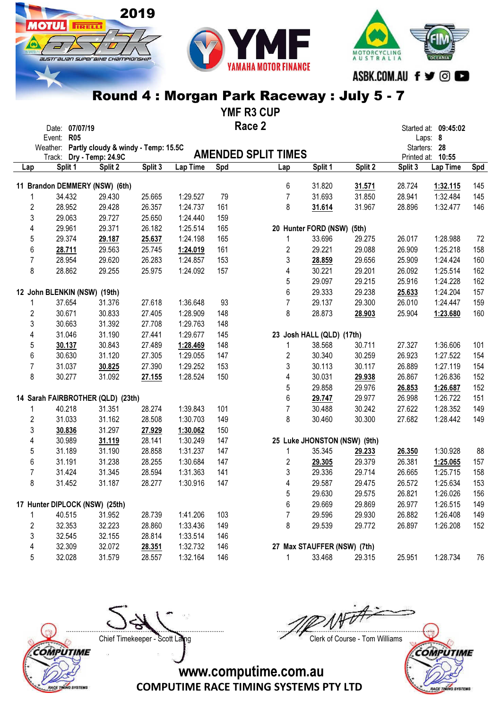2019

**MOTUL** FIRELLY

australian superaike championskir



### Round 4 : Morgan Park Raceway : July 5 - 7

YMF R3 CUP

|                | Date: 07/07/19                               |                   |         |          |     | Race 2                      |         |                              |         | Started at: 09:45:02 |     |
|----------------|----------------------------------------------|-------------------|---------|----------|-----|-----------------------------|---------|------------------------------|---------|----------------------|-----|
|                | <b>R05</b><br>Event:                         |                   |         |          |     |                             |         |                              |         | Laps: 8              |     |
|                | Weather: Partly cloudy & windy - Temp: 15.5C |                   |         |          |     |                             |         |                              |         | Starters: 28         |     |
|                | Track:                                       | Dry - Temp: 24.9C |         |          |     | <b>AMENDED SPLIT TIMES</b>  |         |                              |         | Printed at: 10:55    |     |
| Lap            | Split 1                                      | Split 2           | Split 3 | Lap Time | Spd | Lap                         | Split 1 | Split 2                      | Split 3 | Lap Time             | Spd |
|                | 11 Brandon DEMMERY (NSW) (6th)               |                   |         |          |     | 6                           | 31.820  | 31.571                       | 28.724  | 1:32.115             | 145 |
|                | 34.432                                       | 29.430            | 25.665  | 1:29.527 | 79  | $\overline{7}$              | 31.693  | 31.850                       | 28.941  | 1:32.484             | 145 |
| $\overline{c}$ | 28.952                                       | 29.428            | 26.357  | 1:24.737 | 161 | 8                           | 31.614  | 31.967                       | 28.896  | 1:32.477             | 146 |
| 3              | 29.063                                       | 29.727            | 25.650  | 1:24.440 | 159 |                             |         |                              |         |                      |     |
| 4              | 29.961                                       | 29.371            | 26.182  | 1:25.514 | 165 | 20 Hunter FORD (NSW) (5th)  |         |                              |         |                      |     |
| 5              | 29.374                                       | 29.187            | 25.637  | 1:24.198 | 165 | 1                           | 33.696  | 29.275                       | 26.017  | 1:28.988             | 72  |
| 6              | 28.711                                       | 29.563            | 25.745  | 1:24.019 | 161 | $\overline{2}$              | 29.221  | 29.088                       | 26.909  | 1:25.218             | 158 |
| $\overline{7}$ | 28.954                                       | 29.620            | 26.283  | 1:24.857 | 153 | 3                           | 28.859  | 29.656                       | 25.909  | 1:24.424             | 160 |
| 8              | 28.862                                       | 29.255            | 25.975  | 1:24.092 | 157 | 4                           | 30.221  | 29.201                       | 26.092  | 1:25.514             | 162 |
|                |                                              |                   |         |          |     | 5                           | 29.097  | 29.215                       | 25.916  | 1:24.228             | 162 |
|                | 12 John BLENKIN (NSW) (19th)                 |                   |         |          |     | $\,6$                       | 29.333  | 29.238                       | 25.633  | 1:24.204             | 157 |
| 1              | 37.654                                       | 31.376            | 27.618  | 1:36.648 | 93  | $\overline{7}$              | 29.137  | 29.300                       | 26.010  | 1:24.447             | 159 |
| $\overline{2}$ | 30.671                                       | 30.833            | 27.405  | 1:28.909 | 148 | 8                           | 28.873  | 28.903                       | 25.904  | 1:23.680             | 160 |
| 3              | 30.663                                       | 31.392            | 27.708  | 1:29.763 | 148 |                             |         |                              |         |                      |     |
| 4              | 31.046                                       | 31.190            | 27.441  | 1:29.677 | 145 | 23 Josh HALL (QLD) (17th)   |         |                              |         |                      |     |
| 5              | 30.137                                       | 30.843            | 27.489  | 1:28.469 | 148 | 1                           | 38.568  | 30.711                       | 27.327  | 1:36.606             | 101 |
| 6              | 30.630                                       | 31.120            | 27.305  | 1:29.055 | 147 | $\overline{2}$              | 30.340  | 30.259                       | 26.923  | 1:27.522             | 154 |
| $\overline{7}$ | 31.037                                       | 30.825            | 27.390  | 1:29.252 | 153 | 3                           | 30.113  | 30.117                       | 26.889  | 1:27.119             | 154 |
| 8              | 30.277                                       | 31.092            | 27.155  | 1:28.524 | 150 | 4                           | 30.031  | 29.938                       | 26.867  | 1:26.836             | 152 |
|                |                                              |                   |         |          |     | 5                           | 29.858  | 29.976                       | 26.853  | 1:26.687             | 152 |
|                | 14 Sarah FAIRBROTHER (QLD) (23th)            |                   |         |          |     | $\,6$                       | 29.747  | 29.977                       | 26.998  | 1:26.722             | 151 |
| 1              | 40.218                                       | 31.351            | 28.274  | 1:39.843 | 101 | $\overline{7}$              | 30.488  | 30.242                       | 27.622  | 1:28.352             | 149 |
| $\overline{c}$ | 31.033                                       | 31.162            | 28.508  | 1:30.703 | 149 | 8                           | 30.460  | 30.300                       | 27.682  | 1:28.442             | 149 |
| 3              | 30.836                                       | 31.297            | 27.929  | 1:30.062 | 150 |                             |         |                              |         |                      |     |
| 4              | 30.989                                       | 31.119            | 28.141  | 1:30.249 | 147 |                             |         | 25 Luke JHONSTON (NSW) (9th) |         |                      |     |
| 5              | 31.189                                       | 31.190            | 28.858  | 1:31.237 | 147 | 1                           | 35.345  | 29.233                       | 26.350  | 1:30.928             | 88  |
| 6              | 31.191                                       | 31.238            | 28.255  | 1:30.684 | 147 | 2                           | 29.305  | 29.379                       | 26.381  | 1:25.065             | 157 |
| $\overline{7}$ | 31.424                                       | 31.345            | 28.594  | 1:31.363 | 141 | 3                           | 29.336  | 29.714                       | 26.665  | 1:25.715             | 158 |
| 8              | 31.452                                       | 31.187            | 28.277  | 1:30.916 | 147 | 4                           | 29.587  | 29.475                       | 26.572  | 1:25.634             | 153 |
|                |                                              |                   |         |          |     | 5                           | 29.630  | 29.575                       | 26.821  | 1:26.026             | 156 |
|                | 17 Hunter DIPLOCK (NSW) (25th)               |                   |         |          |     | 6                           | 29.669  | 29.869                       | 26.977  | 1:26.515             | 149 |
|                | 40.515                                       | 31.952            | 28.739  | 1:41.206 | 103 | 7                           | 29.596  | 29.930                       | 26.882  | 1:26.408             | 149 |
| $\overline{2}$ | 32.353                                       | 32.223            | 28.860  | 1:33.436 | 149 | 8                           | 29.539  | 29.772                       | 26.897  | 1:26.208             | 152 |
| 3              | 32.545                                       | 32.155            | 28.814  | 1:33.514 | 146 |                             |         |                              |         |                      |     |
| 4              | 32.309                                       | 32.072            | 28.351  | 1:32.732 | 146 | 27 Max STAUFFER (NSW) (7th) |         |                              |         |                      |     |
| 5              | 32.028                                       | 31.579            | 28.557  | 1:32.164 | 146 | $\mathbf{1}$                | 33.468  | 29.315                       | 25.951  | 1:28.734             | 76  |

COMPUTIME RACE TINING SYSTEMS

....................................................................................... ....................................................................................... Chief Timekeeper - Scott Laing Chief Timekeeper - Scott Laing

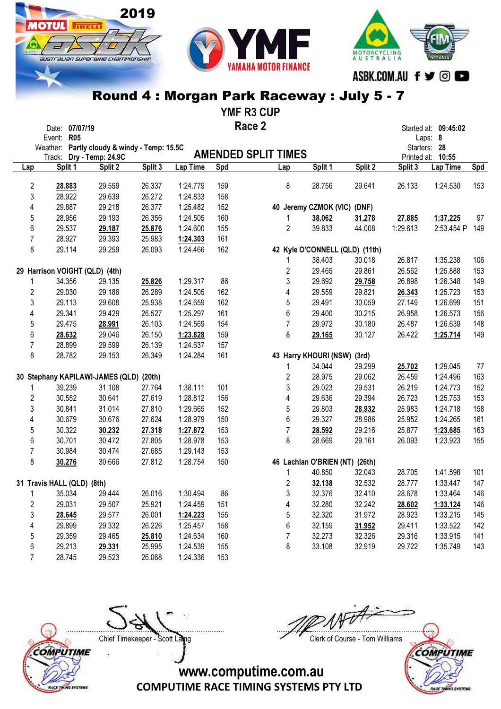# australian superaike championskir

2019

**IOTUL** FIRELLI



#### Round 4 : Morgan Park Raceway : July 5 - 7

YMF R3 CUP

|                     | Date: 07/07/19<br>Event: R05                                             |         |         |          |     | Race 2                     |                                |                                |          | Started at: 09:45:02<br>Laps: 8   |     |
|---------------------|--------------------------------------------------------------------------|---------|---------|----------|-----|----------------------------|--------------------------------|--------------------------------|----------|-----------------------------------|-----|
|                     | Weather: Partly cloudy & windy - Temp: 15.5C<br>Track: Dry - Temp: 24.9C |         |         |          |     | <b>AMENDED SPLIT TIMES</b> |                                |                                |          | Starters: 28<br>Printed at: 10:55 |     |
| Lap                 | Split 1                                                                  | Split 2 | Split 3 | Lap Time | Spd | Lap                        | Split 1                        | Split 2                        | Split 3  | Lap Time                          | Spd |
| $\overline{2}$      | 28.883                                                                   | 29.559  | 26.337  | 1:24.779 | 159 | 8                          | 28.756                         | 29.641                         | 26.133   | 1:24.530                          | 153 |
| 3                   | 28.922                                                                   |         | 26.272  |          |     |                            |                                |                                |          |                                   |     |
|                     |                                                                          | 29.639  |         | 1:24.833 | 158 |                            |                                |                                |          |                                   |     |
| 4                   | 29.887                                                                   | 29.218  | 26.377  | 1:25.482 | 152 |                            | 40 Jeremy CZMOK (VIC) (DNF)    |                                |          |                                   |     |
| 5                   | 28.956                                                                   | 29.193  | 26.356  | 1:24.505 | 160 | 1                          | 38.062                         | 31.278                         | 27.885   | 1:37.225                          | 97  |
| 6                   | 29.537                                                                   | 29.187  | 25.876  | 1:24.600 | 155 | $\overline{2}$             | 39.833                         | 44.008                         | 1:29.613 | 2:53.454 P                        | 149 |
| 7                   | 28.927                                                                   | 29.393  | 25.983  | 1:24.303 | 161 |                            |                                |                                |          |                                   |     |
| 8                   | 29.114                                                                   | 29.259  | 26.093  | 1:24.466 | 162 |                            |                                | 42 Kyle O'CONNELL (QLD) (11th) |          |                                   |     |
|                     |                                                                          |         |         |          |     | 1                          | 38.403                         | 30.018                         | 26.817   | 1:35.238                          | 106 |
|                     | 29 Harrison VOIGHT (QLD) (4th)                                           |         |         |          |     | $\overline{c}$             | 29.465                         | 29.861                         | 26.562   | 1:25.888                          | 153 |
| 1                   | 34.356                                                                   | 29.135  | 25.826  | 1:29.317 | 86  | 3                          | 29.692                         | 29.758                         | 26.898   | 1:26.348                          | 149 |
| $\overline{2}$      | 29.030                                                                   | 29.186  | 26.289  | 1:24.505 | 162 | 4                          | 29.559                         | 29.821                         | 26.343   | 1:25.723                          | 153 |
| 3                   | 29.113                                                                   | 29.608  | 25.938  | 1:24.659 | 162 | 5                          | 29.491                         | 30.059                         | 27.149   | 1:26.699                          | 151 |
| 4                   | 29.341                                                                   | 29.429  | 26.527  | 1:25.297 | 161 | $\,6$                      | 29.400                         | 30.215                         | 26.958   | 1:26.573                          | 156 |
| 5                   | 29.475                                                                   | 28.991  | 26.103  | 1:24.569 | 154 | $\overline{7}$             | 29.972                         | 30.180                         | 26.487   | 1:26.639                          | 148 |
| 6                   | 28.632                                                                   | 29.046  | 26.150  | 1:23.828 | 159 | 8                          | 29.165                         | 30.127                         | 26.422   | 1:25.714                          | 149 |
| 7                   | 28.899                                                                   | 29.599  | 26.139  | 1:24.637 | 157 |                            |                                |                                |          |                                   |     |
| 8                   | 28.782                                                                   | 29.153  | 26.349  | 1:24.284 | 161 |                            | 43 Harry KHOURI (NSW) (3rd)    |                                |          |                                   |     |
|                     |                                                                          |         |         |          |     | 1                          | 34.044                         | 29.299                         | 25.702   | 1:29.045                          | 77  |
|                     | 30 Stephany KAPILAWI-JAMES (QLD) (20th)                                  |         |         |          |     | $\overline{\mathbf{c}}$    | 28.975                         | 29.062                         | 26.459   | 1:24.496                          | 163 |
|                     | 39.239                                                                   | 31.108  | 27.764  | 1:38.111 | 101 | 3                          | 29.023                         | 29.531                         | 26.219   | 1:24.773                          | 152 |
| $\overline{2}$      | 30.552                                                                   | 30.641  | 27.619  | 1:28.812 | 156 | 4                          | 29.636                         | 29.394                         | 26.723   | 1:25.753                          | 153 |
| 3                   | 30.841                                                                   | 31.014  | 27.810  | 1:29.665 | 152 | 5                          | 29.803                         | 28.932                         | 25.983   | 1:24.718                          | 158 |
| 4                   | 30.679                                                                   | 30.676  | 27.624  | 1:28.979 | 150 | $\,6$                      | 29.327                         | 28.986                         | 25.952   | 1:24.265                          | 161 |
| 5                   | 30.322                                                                   | 30.232  | 27.318  | 1:27.872 | 153 | $\overline{7}$             | 28.592                         | 29.216                         | 25.877   | 1:23.685                          | 163 |
| 6                   | 30.701                                                                   | 30.472  | 27.805  | 1:28.978 | 153 | 8                          | 28.669                         | 29.161                         | 26.093   | 1:23.923                          | 155 |
| $\overline{7}$      | 30.984                                                                   | 30.474  | 27.685  | 1:29.143 | 153 |                            |                                |                                |          |                                   |     |
| 8                   | 30.276                                                                   | 30.666  | 27.812  | 1:28.754 | 150 |                            | 46 Lachlan O'BRIEN (NT) (26th) |                                |          |                                   |     |
|                     |                                                                          |         |         |          |     | 1                          | 40.850                         | 32.043                         | 28.705   | 1:41.598                          | 101 |
|                     | 31 Travis HALL (QLD) (8th)                                               |         |         |          |     | $\overline{\mathbf{c}}$    | 32.138                         | 32.532                         | 28.777   | 1:33.447                          | 147 |
| 1                   | 35.034                                                                   | 29.444  | 26.016  | 1:30.494 | 86  | 3                          | 32.376                         | 32.410                         | 28.678   | 1:33.464                          | 146 |
| $\overline{2}$      | 29.031                                                                   | 29.507  | 25.921  | 1:24.459 | 151 | 4                          | 32.280                         | 32.242                         | 28.602   | 1:33.124                          | 146 |
| 3                   | 28.645                                                                   | 29.577  | 26.001  | 1:24.223 | 155 | 5                          | 32.320                         | 31.972                         | 28.923   | 1:33.215                          | 145 |
| 4                   | 29.899                                                                   | 29.332  | 26.226  | 1:25.457 | 158 | 6                          | 32.159                         | 31.952                         | 29.411   | 1:33.522                          | 142 |
|                     | 29.359                                                                   | 29.465  | 25.810  | 1:24.634 | 160 | $\overline{7}$             | 32.273                         | 32.326                         | 29.316   | 1:33.915                          | 141 |
| 5                   | 29.213                                                                   |         | 25.995  | 1:24.539 | 155 | 8                          | 33.108                         | 32.919                         | 29.722   | 1:35.749                          | 143 |
| 6<br>$\overline{7}$ |                                                                          | 29.331  |         |          |     |                            |                                |                                |          |                                   |     |
|                     | 28.745                                                                   | 29.523  | 26.068  | 1:24.336 | 153 |                            |                                |                                |          |                                   |     |



....................................................................................... ....................................................................................... Chief Timekeeper - Scott Laing Chief Timekeeper - Scott Laing



**SYSTEMS** 

**RACE TE**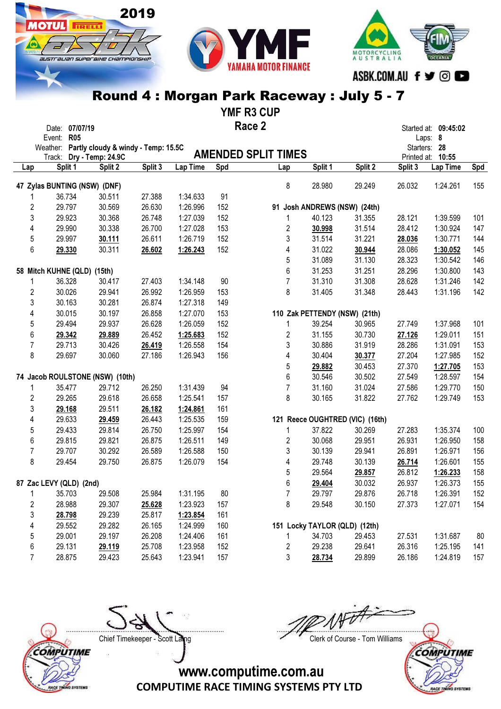### ASBK.COM.AU f y @ Round 4 : Morgan Park Raceway : July 5 - 7

2019

**IOTUL** FIRELLI

austrauan superaixe championskir

YMF R3 CUP

|                | Date: 07/07/19<br>Event: R05<br>Weather: Partly cloudy & windy - Temp: 15.5C<br>Track: Dry - Temp: 24.9C |         |         |          |     | Race 2<br><b>AMENDED SPLIT TIMES</b> |                               |                                 |         | Started at: 09:45:02<br>Laps: 8<br>Starters: 28<br>Printed at: 10:55 |     |
|----------------|----------------------------------------------------------------------------------------------------------|---------|---------|----------|-----|--------------------------------------|-------------------------------|---------------------------------|---------|----------------------------------------------------------------------|-----|
| Lap            | Split 1                                                                                                  | Split 2 | Split 3 | Lap Time | Spd | Lap                                  | Split 1                       | Split 2                         | Split 3 | Lap Time                                                             | Spd |
|                | 47 Zylas BUNTING (NSW) (DNF)                                                                             |         |         |          |     | 8                                    | 28.980                        | 29.249                          | 26.032  | 1:24.261                                                             | 155 |
|                | 36.734                                                                                                   | 30.511  | 27.388  | 1:34.633 | 91  |                                      |                               |                                 |         |                                                                      |     |
| 2              | 29.797                                                                                                   | 30.569  | 26.630  | 1:26.996 | 152 |                                      | 91 Josh ANDREWS (NSW) (24th)  |                                 |         |                                                                      |     |
| 3              | 29.923                                                                                                   | 30.368  | 26.748  | 1:27.039 | 152 | 1                                    | 40.123                        | 31.355                          | 28.121  | 1:39.599                                                             | 101 |
| 4              | 29.990                                                                                                   | 30.338  | 26.700  | 1:27.028 | 153 | 2                                    | 30.998                        | 31.514                          | 28.412  | 1:30.924                                                             | 147 |
| 5              | 29.997                                                                                                   | 30.111  | 26.611  | 1:26.719 | 152 | 3                                    | 31.514                        | 31.221                          | 28.036  | 1:30.771                                                             | 144 |
| 6              | 29.330                                                                                                   | 30.311  | 26.602  | 1:26.243 | 152 | 4                                    | 31.022                        | 30.944                          | 28.086  | 1:30.052                                                             | 145 |
|                |                                                                                                          |         |         |          |     | 5                                    | 31.089                        | 31.130                          | 28.323  | 1:30.542                                                             | 146 |
|                | 58 Mitch KUHNE (QLD) (15th)                                                                              |         |         |          |     | 6                                    | 31.253                        | 31.251                          | 28.296  | 1:30.800                                                             | 143 |
| 1              | 36.328                                                                                                   | 30.417  | 27.403  | 1:34.148 | 90  | $\overline{7}$                       | 31.310                        | 31.308                          | 28.628  | 1:31.246                                                             | 142 |
| 2              | 30.026                                                                                                   | 29.941  | 26.992  | 1:26.959 | 153 | 8                                    | 31.405                        | 31.348                          | 28.443  | 1:31.196                                                             | 142 |
| 3              | 30.163                                                                                                   | 30.281  | 26.874  | 1:27.318 | 149 |                                      |                               |                                 |         |                                                                      |     |
| 4              | 30.015                                                                                                   | 30.197  | 26.858  | 1:27.070 | 153 |                                      | 110 Zak PETTENDY (NSW) (21th) |                                 |         |                                                                      |     |
| 5              | 29.494                                                                                                   | 29.937  | 26.628  | 1:26.059 | 152 | 1                                    | 39.254                        | 30.965                          | 27.749  | 1:37.968                                                             | 101 |
| 6              | 29.342                                                                                                   | 29.889  | 26.452  | 1:25.683 | 152 | 2                                    | 31.155                        | 30.730                          | 27.126  | 1:29.011                                                             | 151 |
| $\overline{7}$ | 29.713                                                                                                   | 30.426  | 26.419  | 1:26.558 | 154 | 3                                    | 30.886                        | 31.919                          | 28.286  | 1:31.091                                                             | 153 |
| 8              | 29.697                                                                                                   | 30.060  | 27.186  | 1:26.943 | 156 | 4                                    | 30.404                        | 30.377                          | 27.204  | 1:27.985                                                             | 152 |
|                |                                                                                                          |         |         |          |     | 5                                    | 29.882                        | 30.453                          | 27.370  | 1:27.705                                                             | 153 |
|                | 74 Jacob ROULSTONE (NSW) (10th)                                                                          |         |         |          |     | 6                                    | 30.546                        | 30.502                          | 27.549  | 1:28.597                                                             | 154 |
| 1              | 35.477                                                                                                   | 29.712  | 26.250  | 1:31.439 | 94  | $\overline{7}$                       | 31.160                        | 31.024                          | 27.586  | 1:29.770                                                             | 150 |
| 2              | 29.265                                                                                                   | 29.618  | 26.658  | 1:25.541 | 157 | 8                                    | 30.165                        | 31.822                          | 27.762  | 1:29.749                                                             | 153 |
| 3              | 29.168                                                                                                   | 29.511  | 26.182  | 1:24.861 | 161 |                                      |                               |                                 |         |                                                                      |     |
| 4              | 29.633                                                                                                   | 29.459  | 26.443  | 1:25.535 | 159 |                                      |                               | 121 Reece OUGHTRED (VIC) (16th) |         |                                                                      |     |
| 5              | 29.433                                                                                                   | 29.814  | 26.750  | 1:25.997 | 154 | 1                                    | 37.822                        | 30.269                          | 27.283  | 1:35.374                                                             | 100 |
| 6              | 29.815                                                                                                   | 29.821  | 26.875  | 1:26.511 | 149 | 2                                    | 30.068                        | 29.951                          | 26.931  | 1:26.950                                                             | 158 |
| $\overline{7}$ | 29.707                                                                                                   | 30.292  | 26.589  | 1:26.588 | 150 | 3                                    | 30.139                        | 29.941                          | 26.891  | 1:26.971                                                             | 156 |
| 8              | 29.454                                                                                                   | 29.750  | 26.875  | 1:26.079 | 154 | 4                                    | 29.748                        | 30.139                          | 26.714  | 1:26.601                                                             | 155 |
|                |                                                                                                          |         |         |          |     | 5                                    | 29.564                        | 29.857                          | 26.812  | 1:26.233                                                             | 158 |
|                | 87 Zac LEVY (QLD) (2nd)                                                                                  |         |         |          |     | 6                                    | 29.404                        | 30.032                          | 26.937  | 1:26.373                                                             | 155 |
| 1              | 35.703                                                                                                   | 29.508  | 25.984  | 1:31.195 | 80  | $\overline{7}$                       | 29.797                        | 29.876                          | 26.718  | 1:26.391                                                             | 152 |
| 2              | 28.988                                                                                                   | 29.307  | 25.628  | 1:23.923 | 157 | 8                                    | 29.548                        | 30.150                          | 27.373  | 1:27.071                                                             | 154 |
| 3              | 28.798                                                                                                   | 29.239  | 25.817  | 1:23.854 | 161 |                                      |                               |                                 |         |                                                                      |     |
| 4              | 29.552                                                                                                   | 29.282  | 26.165  | 1:24.999 | 160 |                                      | 151 Locky TAYLOR (QLD) (12th) |                                 |         |                                                                      |     |
| 5              | 29.001                                                                                                   | 29.197  | 26.208  | 1:24.406 | 161 |                                      | 34.703                        | 29.453                          | 27.531  | 1:31.687                                                             | 80  |
| 6              | 29.131                                                                                                   | 29.119  | 25.708  | 1:23.958 | 152 | 2                                    | 29.238                        | 29.641                          | 26.316  | 1:25.195                                                             | 141 |
| 7              | 28.875                                                                                                   | 29.423  | 25.643  | 1:23.941 | 157 | 3                                    | 28.734                        | 29.899                          | 26.186  | 1:24.819                                                             | 157 |
|                |                                                                                                          |         |         |          |     |                                      |                               |                                 |         |                                                                      |     |



....................................................................................... ....................................................................................... Chief Timekeeper - Scott Laing Chief Timekeeper - Scott Laing

MOTORCYCLING<br>AUSTRALIA



COMPUTIME RACE TIMING SYSTEMS PTY LTD

www.computime.com.au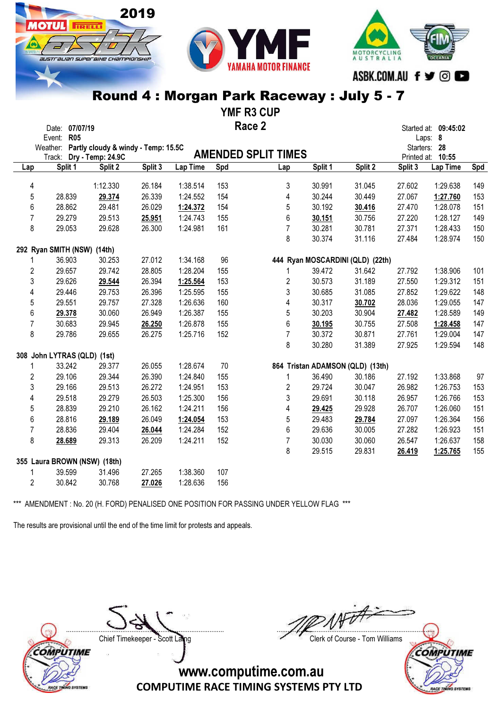#### MOTORCYCLING<br>AUSTRALIA IUSTI aLIAN SUPER BIHE CHAMPIONSHI. ASBK.COM.AU f ♥ © ■

### Round 4 : Morgan Park Raceway : July 5 - 7

YMF R3 CUP

|                | Date: 07/07/19<br>Event: R05                 |          |         |          |     | Race 2                     |         |                                  |         | Started at: 09:45:02<br>Laps: 8 |     |
|----------------|----------------------------------------------|----------|---------|----------|-----|----------------------------|---------|----------------------------------|---------|---------------------------------|-----|
|                | Weather: Partly cloudy & windy - Temp: 15.5C |          |         |          |     | <b>AMENDED SPLIT TIMES</b> |         |                                  |         | Starters: 28                    |     |
|                | Track: Dry - Temp: 24.9C<br>Split 1          | Split 2  | Split 3 | Lap Time | Spd | Lap                        | Split 1 | Split 2                          | Split 3 | Printed at: 10:55<br>Lap Time   |     |
| Lap            |                                              |          |         |          |     |                            |         |                                  |         |                                 | Spd |
| 4              |                                              | 1:12.330 | 26.184  | 1:38.514 | 153 | 3                          | 30.991  | 31.045                           | 27.602  | 1:29.638                        | 149 |
| 5              | 28.839                                       | 29.374   | 26.339  | 1:24.552 | 154 | 4                          | 30.244  | 30.449                           | 27.067  | 1:27.760                        | 153 |
| 6              | 28.862                                       | 29.481   | 26.029  | 1:24.372 | 154 | 5                          | 30.192  | 30.416                           | 27.470  | 1:28.078                        | 151 |
| 7              | 29.279                                       | 29.513   | 25.951  | 1:24.743 | 155 | 6                          | 30.151  | 30.756                           | 27.220  | 1:28.127                        | 149 |
| 8              | 29.053                                       | 29.628   | 26.300  | 1:24.981 | 161 | $\overline{7}$             | 30.281  | 30.781                           | 27.371  | 1:28.433                        | 150 |
|                |                                              |          |         |          |     | 8                          | 30.374  | 31.116                           | 27.484  | 1:28.974                        | 150 |
|                | 292 Ryan SMITH (NSW) (14th)                  |          |         |          |     |                            |         |                                  |         |                                 |     |
|                | 36.903                                       | 30.253   | 27.012  | 1:34.168 | 96  |                            |         | 444 Ryan MOSCARDINI (QLD) (22th) |         |                                 |     |
| $\overline{2}$ | 29.657                                       | 29.742   | 28.805  | 1:28.204 | 155 | 1                          | 39.472  | 31.642                           | 27.792  | 1:38.906                        | 101 |
| 3              | 29.626                                       | 29.544   | 26.394  | 1:25.564 | 153 | 2                          | 30.573  | 31.189                           | 27.550  | 1:29.312                        | 151 |
| 4              | 29.446                                       | 29.753   | 26.396  | 1:25.595 | 155 | 3                          | 30.685  | 31.085                           | 27.852  | 1:29.622                        | 148 |
| 5              | 29.551                                       | 29.757   | 27.328  | 1:26.636 | 160 | 4                          | 30.317  | 30.702                           | 28.036  | 1:29.055                        | 147 |
| 6              | 29.378                                       | 30.060   | 26.949  | 1:26.387 | 155 | 5                          | 30.203  | 30.904                           | 27.482  | 1:28.589                        | 149 |
| $\overline{7}$ | 30.683                                       | 29.945   | 26.250  | 1:26.878 | 155 | 6                          | 30.195  | 30.755                           | 27.508  | 1:28.458                        | 147 |
| 8              | 29.786                                       | 29.655   | 26.275  | 1:25.716 | 152 | $\overline{7}$             | 30.372  | 30.871                           | 27.761  | 1:29.004                        | 147 |
|                |                                              |          |         |          |     | 8                          | 30.280  | 31.389                           | 27.925  | 1:29.594                        | 148 |
|                | 308 John LYTRAS (QLD) (1st)                  |          |         |          |     |                            |         |                                  |         |                                 |     |
| 1              | 33.242                                       | 29.377   | 26.055  | 1:28.674 | 70  |                            |         | 864 Tristan ADAMSON (QLD) (13th) |         |                                 |     |
| $\overline{2}$ | 29.106                                       | 29.344   | 26.390  | 1:24.840 | 155 | 1                          | 36.490  | 30.186                           | 27.192  | 1:33.868                        | 97  |
| 3              | 29.166                                       | 29.513   | 26.272  | 1:24.951 | 153 | 2                          | 29.724  | 30.047                           | 26.982  | 1:26.753                        | 153 |
| 4              | 29.518                                       | 29.279   | 26.503  | 1:25.300 | 156 | 3                          | 29.691  | 30.118                           | 26.957  | 1:26.766                        | 153 |
| 5              | 28.839                                       | 29.210   | 26.162  | 1:24.211 | 156 | 4                          | 29.425  | 29.928                           | 26.707  | 1:26.060                        | 151 |
| 6              | 28.816                                       | 29.189   | 26.049  | 1:24.054 | 153 | 5                          | 29.483  | 29.784                           | 27.097  | 1:26.364                        | 156 |
| 7              | 28.836                                       | 29.404   | 26.044  | 1:24.284 | 152 | 6                          | 29.636  | 30.005                           | 27.282  | 1:26.923                        | 151 |
| 8              | 28.689                                       | 29.313   | 26.209  | 1:24.211 | 152 | $\overline{7}$             | 30.030  | 30.060                           | 26.547  | 1:26.637                        | 158 |
|                |                                              |          |         |          |     | 8                          | 29.515  | 29.831                           | 26.419  | 1:25.765                        | 155 |
|                | 355 Laura BROWN (NSW) (18th)                 |          |         |          |     |                            |         |                                  |         |                                 |     |
| 1              | 39.599                                       | 31.496   | 27.265  | 1:38.360 | 107 |                            |         |                                  |         |                                 |     |
| $\overline{2}$ | 30.842                                       | 30.768   | 27.026  | 1:28.636 | 156 |                            |         |                                  |         |                                 |     |

\*\*\* AMENDMENT : No. 20 (H. FORD) PENALISED ONE POSITION FOR PASSING UNDER YELLOW FLAG \*\*\*

The results are provisional until the end of the time limit for protests and appeals.

2019

**TRELL** 

COMPUTIME **VO SYSTEM** 

....................................................................................... ....................................................................................... Chief Timekeeper - Scott Laing Chief Timekeeper - Scott Laing

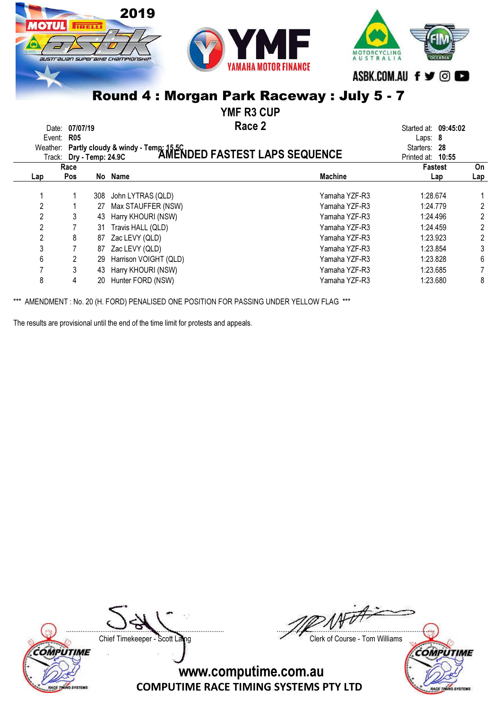

YMF R3 CUP

Race 2 Date: 07/07/19 **Started at: 09:45:02 Race 2** Started at: 09:45:02

|                | Event: R05<br>Track: Dry - Temp: 24.9C |     | Weather: Partly cloudy & windy - Temp: 15.5C<br>Track: Dry - Temp: 24 9C. <b>AMENDED FASTEST LAPS SEQUENCE</b> |                | Laps: $8$<br>Starters: 28<br>Printed at: 10:55 |     |
|----------------|----------------------------------------|-----|----------------------------------------------------------------------------------------------------------------|----------------|------------------------------------------------|-----|
|                | Race                                   |     |                                                                                                                |                | <b>Fastest</b>                                 | On  |
| Lap            | <b>Pos</b>                             |     | No Name                                                                                                        | <b>Machine</b> | Lap                                            | Lap |
|                |                                        | 308 | John LYTRAS (QLD)                                                                                              | Yamaha YZF-R3  | 1:28.674                                       |     |
| $\overline{2}$ |                                        | 27  | Max STAUFFER (NSW)                                                                                             | Yamaha YZF-R3  | 1:24.779                                       | 2   |
| $\overline{2}$ |                                        | 43  | Harry KHOURI (NSW)                                                                                             | Yamaha YZF-R3  | 1:24.496                                       | 2   |
| 2              |                                        | 31  | Travis HALL (QLD)                                                                                              | Yamaha YZF-R3  | 1:24.459                                       | 2   |
| $\mathbf{2}$   | 8                                      | 87  | Zac LEVY (QLD)                                                                                                 | Yamaha YZF-R3  | 1:23.923                                       | 2   |
| 3              |                                        | 87  | Zac LEVY (QLD)                                                                                                 | Yamaha YZF-R3  | 1:23.854                                       | 3   |
| 6              |                                        | 29  | Harrison VOIGHT (QLD)                                                                                          | Yamaha YZF-R3  | 1:23.828                                       | 6   |
|                |                                        | 43  | Harry KHOURI (NSW)                                                                                             | Yamaha YZF-R3  | 1:23.685                                       |     |
| 8              | 4                                      | 20  | Hunter FORD (NSW)                                                                                              | Yamaha YZF-R3  | 1:23.680                                       | 8   |

\*\*\* AMENDMENT : No. 20 (H. FORD) PENALISED ONE POSITION FOR PASSING UNDER YELLOW FLAG \*\*\*

The results are provisional until the end of the time limit for protests and appeals.



....................................................................................... ....................................................................................... Chief Timekeeper - Scott Laing Chief Timekeeper - Scott Laing

**COMPUTIME**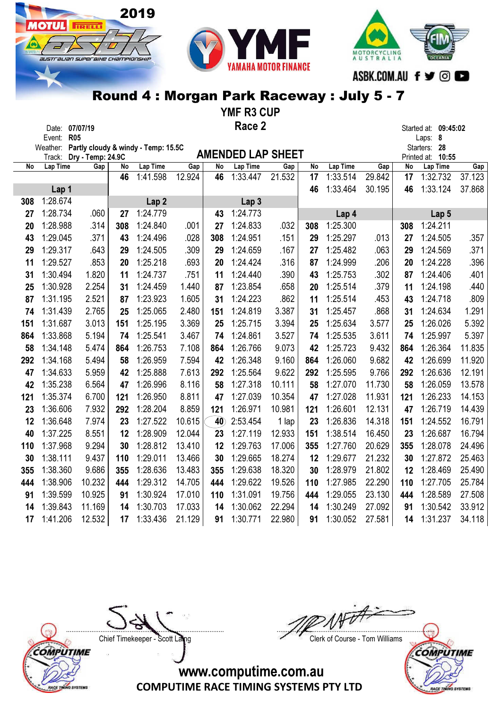2019

**IOTUL** FIRELLT

austrauan superaixe championskii

YMF R3 CUP Race 2

|     | Date: 07/07/19         |                   |     |                                     | Race Z |                 |                          |        |     |          |        |     | Started at: 09:45:02    |        |
|-----|------------------------|-------------------|-----|-------------------------------------|--------|-----------------|--------------------------|--------|-----|----------|--------|-----|-------------------------|--------|
|     | Event: R05<br>Weather: |                   |     | Partly cloudy & windy - Temp: 15.5C |        |                 |                          |        |     |          |        |     | Laps: 8<br>Starters: 28 |        |
|     | Track:                 | Dry - Temp: 24.9C |     |                                     |        |                 | <b>AMENDED LAP SHEET</b> |        |     |          |        |     | Printed at:<br>10:55    |        |
| No  | Lap Time               | Gap               | No  | Lap Time                            | Gap    | No              | <b>Lap Time</b>          | Gap    | No  | Lap Time | Gap    | No  | Lap Time                | Gap    |
|     |                        |                   | 46  | 1:41.598                            | 12.924 | 46              | 1:33.447                 | 21.532 | 17  | 1:33.514 | 29.842 | 17  | 1:32.732                | 37.123 |
|     | Lap 1                  |                   |     |                                     |        |                 |                          |        | 46  | 1:33.464 | 30.195 | 46  | 1:33.124                | 37.868 |
| 308 | 1:28.674               |                   |     | Lap <sub>2</sub>                    |        |                 | Lap <sub>3</sub>         |        |     |          |        |     |                         |        |
| 27  | 1:28.734               | .060              | 27  | 1:24.779                            |        | 43              | 1:24.773                 |        |     | Lap 4    |        |     | Lap 5                   |        |
| 20  | 1:28.988               | .314              | 308 | 1:24.840                            | .001   | 27              | 1:24.833                 | .032   | 308 | 1:25.300 |        | 308 | 1:24.211                |        |
| 43  | 1:29.045               | .371              | 43  | 1:24.496                            | .028   | 308             | 1:24.951                 | .151   | 29  | 1:25.297 | .013   | 27  | 1:24.505                | .357   |
| 29  | 1:29.317               | .643              | 29  | 1:24.505                            | .309   | 29              | 1:24.659                 | .167   | 27  | 1:25.482 | .063   | 29  | 1:24.569                | .371   |
| 11  | 1:29.527               | .853              | 20  | 1:25.218                            | .693   | 20              | 1:24.424                 | .316   | 87  | 1:24.999 | .206   | 20  | 1:24.228                | .396   |
| 31  | 1:30.494               | 1.820             | 11  | 1:24.737                            | .751   | 11              | 1:24.440                 | .390   | 43  | 1:25.753 | .302   | 87  | 1:24.406                | .401   |
| 25  | 1:30.928               | 2.254             | 31  | 1:24.459                            | 1.440  | 87              | 1:23.854                 | .658   | 20  | 1:25.514 | .379   | 11  | 1:24.198                | .440   |
| 87  | 1:31.195               | 2.521             | 87  | 1:23.923                            | 1.605  | 31              | 1:24.223                 | .862   | 11  | 1:25.514 | .453   | 43  | 1:24.718                | .809   |
| 74  | 1:31.439               | 2.765             | 25  | 1:25.065                            | 2.480  | 151             | 1:24.819                 | 3.387  | 31  | 1:25.457 | .868   | 31  | 1:24.634                | 1.291  |
| 151 | 1:31.687               | 3.013             | 151 | 1:25.195                            | 3.369  | 25              | 1:25.715                 | 3.394  | 25  | 1:25.634 | 3.577  | 25  | 1:26.026                | 5.392  |
| 864 | 1:33.868               | 5.194             | 74  | 1:25.541                            | 3.467  | 74              | 1:24.861                 | 3.527  | 74  | 1:25.535 | 3.611  | 74  | 1:25.997                | 5.397  |
| 58  | 1:34.148               | 5.474             | 864 | 1:26.753                            | 7.108  | 864             | 1:26.766                 | 9.073  | 42  | 1:25.723 | 9.432  | 864 | 1:26.364                | 11.835 |
| 292 | 1:34.168               | 5.494             | 58  | 1:26.959                            | 7.594  | 42              | 1:26.348                 | 9.160  | 864 | 1:26.060 | 9.682  | 42  | 1:26.699                | 11.920 |
| 47  | 1:34.633               | 5.959             | 42  | 1:25.888                            | 7.613  | 292             | 1:25.564                 | 9.622  | 292 | 1:25.595 | 9.766  | 292 | 1:26.636                | 12.191 |
| 42  | 1:35.238               | 6.564             | 47  | 1:26.996                            | 8.116  | 58              | 1:27.318                 | 10.111 | 58  | 1:27.070 | 11.730 | 58  | 1:26.059                | 13.578 |
| 121 | 1:35.374               | 6.700             | 121 | 1:26.950                            | 8.811  | 47              | 1:27.039                 | 10.354 | 47  | 1:27.028 | 11.931 | 121 | 1:26.233                | 14.153 |
| 23  | 1:36.606               | 7.932             | 292 | 1:28.204                            | 8.859  | 121             | 1:26.971                 | 10.981 | 121 | 1:26.601 | 12.131 | 47  | 1:26.719                | 14.439 |
| 12  | 1:36.648               | 7.974             | 23  | 1:27.522                            | 10.615 | 40 <sub>2</sub> | 2:53.454                 | 1 lap  | 23  | 1:26.836 | 14.318 | 151 | 1:24.552                | 16.791 |
| 40  | 1:37.225               | 8.551             | 12  | 1:28.909                            | 12.044 | 23              | 1:27.119                 | 12.933 | 151 | 1:38.514 | 16.450 | 23  | 1:26.687                | 16.794 |
| 110 | 1:37.968               | 9.294             | 30  | 1:28.812                            | 13.410 | 12              | 1:29.763                 | 17.006 | 355 | 1:27.760 | 20.629 | 355 | 1:28.078                | 24.496 |
| 30  | 1:38.111               | 9.437             | 110 | 1:29.011                            | 13.466 | 30              | 1:29.665                 | 18.274 | 12  | 1:29.677 | 21.232 | 30  | 1:27.872                | 25.463 |
| 355 | 1:38.360               | 9.686             | 355 | 1:28.636                            | 13.483 | 355             | 1:29.638                 | 18.320 | 30  | 1:28.979 | 21.802 | 12  | 1:28.469                | 25.490 |
| 444 | 1:38.906               | 10.232            | 444 | 1:29.312                            | 14.705 | 444             | 1:29.622                 | 19.526 | 110 | 1:27.985 | 22.290 | 110 | 1:27.705                | 25.784 |
| 91  | 1:39.599               | 10.925            | 91  | 1:30.924                            | 17.010 | 110             | 1:31.091                 | 19.756 | 444 | 1:29.055 | 23.130 | 444 | 1:28.589                | 27.508 |
| 14  | 1:39.843               | 11.169            | 14  | 1:30.703                            | 17.033 | 14              | 1:30.062                 | 22.294 | 14  | 1:30.249 | 27.092 | 91  | 1:30.542                | 33.912 |
| 17  | 1:41.206               | 12.532            | 17  | 1:33.436                            | 21.129 | 91              | 1:30.771                 | 22.980 | 91  | 1:30.052 | 27.581 | 14  | 1:31.237                | 34.118 |

COMPUTIME RACE TINING SYSTEMS

....................................................................................... ....................................................................................... Chief Timekeeper - Scott Laing Chief Timekeeper - Scott Laing

MOTORCYCLING<br>A U S T R A L I A

ASBK.COM.AU f ♥ © ■

COMPUTIME **SYSTEMS MCETE**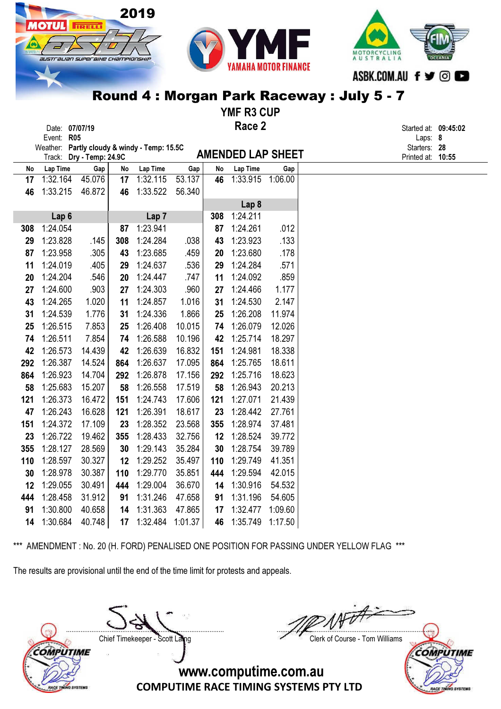

YMF R3 CUP

| Race 2<br>Date: 07/07/19<br>Event: R05<br>Weather: Partly cloudy & windy - Temp: 15.5C |                  |                          |     |                  |         |     |                          |         | Started at: 09:45:02<br>Laps: 8   |  |
|----------------------------------------------------------------------------------------|------------------|--------------------------|-----|------------------|---------|-----|--------------------------|---------|-----------------------------------|--|
|                                                                                        |                  | Track: Dry - Temp: 24.9C |     |                  |         |     | <b>AMENDED LAP SHEET</b> |         | Starters: 28<br>Printed at: 10:55 |  |
| No                                                                                     | Lap Time         | Gap                      | No  | Lap Time         | Gap     | No  | Lap Time                 | Gap     |                                   |  |
| 17                                                                                     | 1:32.164         | 45.076                   | 17  | 1:32.115         | 53.137  | 46  | 1:33.915                 | 1:06.00 |                                   |  |
| 46                                                                                     | 1:33.215         | 46.872                   | 46  | 1:33.522         | 56.340  |     |                          |         |                                   |  |
|                                                                                        |                  |                          |     |                  |         |     | Lap <sub>8</sub>         |         |                                   |  |
|                                                                                        | Lap <sub>6</sub> |                          |     | Lap <sub>7</sub> |         | 308 | 1:24.211                 |         |                                   |  |
| 308                                                                                    | 1:24.054         |                          | 87  | 1:23.941         |         | 87  | 1:24.261                 | .012    |                                   |  |
| 29                                                                                     | 1:23.828         | .145                     | 308 | 1:24.284         | .038    | 43  | 1:23.923                 | .133    |                                   |  |
| 87                                                                                     | 1:23.958         | .305                     | 43  | 1:23.685         | .459    | 20  | 1:23.680                 | .178    |                                   |  |
| 11                                                                                     | 1:24.019         | .405                     | 29  | 1:24.637         | .536    | 29  | 1:24.284                 | .571    |                                   |  |
| 20                                                                                     | 1:24.204         | .546                     | 20  | 1:24.447         | .747    | 11  | 1:24.092                 | .859    |                                   |  |
| 27                                                                                     | 1:24.600         | .903                     | 27  | 1:24.303         | .960    | 27  | 1:24.466                 | 1.177   |                                   |  |
| 43                                                                                     | 1:24.265         | 1.020                    | 11  | 1:24.857         | 1.016   | 31  | 1:24.530                 | 2.147   |                                   |  |
| 31                                                                                     | 1:24.539         | 1.776                    | 31  | 1:24.336         | 1.866   | 25  | 1:26.208                 | 11.974  |                                   |  |
| 25                                                                                     | 1:26.515         | 7.853                    | 25  | 1:26.408         | 10.015  | 74  | 1:26.079                 | 12.026  |                                   |  |
| 74                                                                                     | 1:26.511         | 7.854                    | 74  | 1:26.588         | 10.196  | 42  | 1:25.714                 | 18.297  |                                   |  |
| 42                                                                                     | 1:26.573         | 14.439                   | 42  | 1:26.639         | 16.832  | 151 | 1:24.981                 | 18.338  |                                   |  |
| 292                                                                                    | 1:26.387         | 14.524                   | 864 | 1:26.637         | 17.095  | 864 | 1:25.765                 | 18.611  |                                   |  |
| 864                                                                                    | 1:26.923         | 14.704                   | 292 | 1:26.878         | 17.156  | 292 | 1:25.716                 | 18.623  |                                   |  |
| 58                                                                                     | 1:25.683         | 15.207                   | 58  | 1:26.558         | 17.519  | 58  | 1:26.943                 | 20.213  |                                   |  |
| 121                                                                                    | 1:26.373         | 16.472                   | 151 | 1:24.743         | 17.606  | 121 | 1:27.071                 | 21.439  |                                   |  |
| 47                                                                                     | 1:26.243         | 16.628                   | 121 | 1:26.391         | 18.617  | 23  | 1:28.442                 | 27.761  |                                   |  |
| 151                                                                                    | 1:24.372         | 17.109                   | 23  | 1:28.352         | 23.568  | 355 | 1:28.974                 | 37.481  |                                   |  |
| 23                                                                                     | 1:26.722         | 19.462                   | 355 | 1:28.433         | 32.756  | 12  | 1:28.524                 | 39.772  |                                   |  |
| 355                                                                                    | 1:28.127         | 28.569                   | 30  | 1:29.143         | 35.284  | 30  | 1:28.754                 | 39.789  |                                   |  |
| 110                                                                                    | 1:28.597         | 30.327                   | 12  | 1:29.252         | 35.497  | 110 | 1:29.749                 | 41.351  |                                   |  |
| 30                                                                                     | 1:28.978         | 30.387                   | 110 | 1:29.770         | 35.851  | 444 | 1:29.594                 | 42.015  |                                   |  |
| 12                                                                                     | 1:29.055         | 30.491                   | 444 | 1:29.004         | 36.670  | 14  | 1:30.916                 | 54.532  |                                   |  |
| 444                                                                                    | 1:28.458         | 31.912                   | 91  | 1:31.246         | 47.658  | 91  | 1:31.196                 | 54.605  |                                   |  |
| 91                                                                                     | 1:30.800         | 40.658                   | 14  | 1:31.363         | 47.865  | 17  | 1:32.477                 | 1:09.60 |                                   |  |
| 14                                                                                     | 1:30.684         | 40.748                   | 17  | 1:32.484         | 1:01.37 | 46  | 1:35.749                 | 1:17.50 |                                   |  |

\*\*\* AMENDMENT : No. 20 (H. FORD) PENALISED ONE POSITION FOR PASSING UNDER YELLOW FLAG \*\*\*

The results are provisional until the end of the time limit for protests and appeals.

2019

**TIRELLI** 

77 T

....................................................................................... ....................................................................................... Chief Timekeeper - Scott Laing Chief Timekeeper - Scott Laing



COMPUTIME NO SYSTEM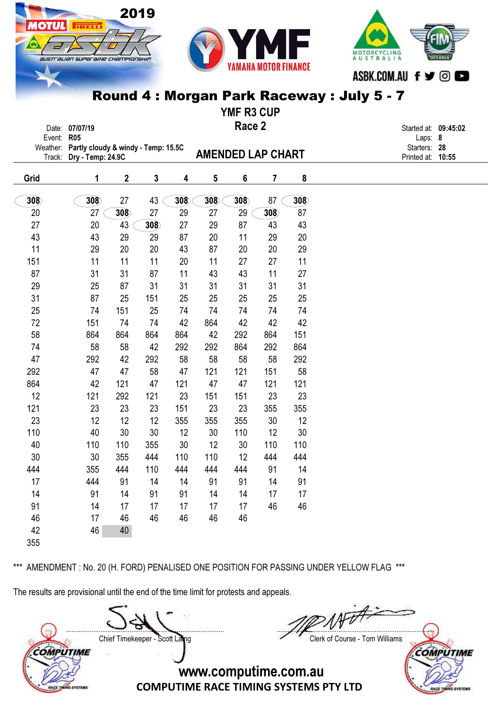

2019

**TRELL** 

austrauan superaixe championskir

YMF R3 CUP

| Event: R05         | Date: 07/07/19                                           |                         |     |     |                          | Race 2 |     |     | Started at: 09:45:02<br>Laps: 8   |  |
|--------------------|----------------------------------------------------------|-------------------------|-----|-----|--------------------------|--------|-----|-----|-----------------------------------|--|
| Weather:<br>Track: | Partly cloudy & windy - Temp: 15.5C<br>Dry - Temp: 24.9C |                         |     |     | <b>AMENDED LAP CHART</b> |        |     |     | Starters: 28<br>Printed at: 10:55 |  |
|                    |                                                          |                         |     |     |                          |        |     |     |                                   |  |
| Grid               | 1                                                        | $\overline{\mathbf{2}}$ | 3   | 4   | 5                        | 6      | 7   | 8   |                                   |  |
| 308                | 308                                                      | 27                      | 43  | 308 | 308                      | 308    | 87  | 308 |                                   |  |
| 20                 | 27                                                       | 308                     | 27  | 29  | 27                       | 29     | 308 | 87  |                                   |  |
| 27                 | 20                                                       | 43                      | 308 | 27  | 29                       | 87     | 43  | 43  |                                   |  |
| 43                 | 43                                                       | 29                      | 29  | 87  | 20                       | 11     | 29  | 20  |                                   |  |
| 11                 | 29                                                       | 20                      | 20  | 43  | 87                       | 20     | 20  | 29  |                                   |  |
| 151                | 11                                                       | 11                      | 11  | 20  | 11                       | 27     | 27  | 11  |                                   |  |
| 87                 | 31                                                       | 31                      | 87  | 11  | 43                       | 43     | 11  | 27  |                                   |  |
| 29                 | 25                                                       | 87                      | 31  | 31  | 31                       | 31     | 31  | 31  |                                   |  |
| 31                 | 87                                                       | 25                      | 151 | 25  | 25                       | 25     | 25  | 25  |                                   |  |
| 25                 | 74                                                       | 151                     | 25  | 74  | 74                       | 74     | 74  | 74  |                                   |  |
| 72                 | 151                                                      | 74                      | 74  | 42  | 864                      | 42     | 42  | 42  |                                   |  |
| 58                 | 864                                                      | 864                     | 864 | 864 | 42                       | 292    | 864 | 151 |                                   |  |
| 74                 | 58                                                       | 58                      | 42  | 292 | 292                      | 864    | 292 | 864 |                                   |  |
| 47                 | 292                                                      | 42                      | 292 | 58  | 58                       | 58     | 58  | 292 |                                   |  |
| 292                | 47                                                       | 47                      | 58  | 47  | 121                      | 121    | 151 | 58  |                                   |  |
| 864                | 42                                                       | 121                     | 47  | 121 | 47                       | 47     | 121 | 121 |                                   |  |
| 12                 | 121                                                      | 292                     | 121 | 23  | 151                      | 151    | 23  | 23  |                                   |  |
| 121                | 23                                                       | 23                      | 23  | 151 | 23                       | 23     | 355 | 355 |                                   |  |
| 23                 | 12                                                       | 12                      | 12  | 355 | 355                      | 355    | 30  | 12  |                                   |  |
| 110                | 40                                                       | 30                      | 30  | 12  | 30                       | 110    | 12  | 30  |                                   |  |
| 40                 | 110                                                      | 110                     | 355 | 30  | 12                       | 30     | 110 | 110 |                                   |  |
| 30                 | 30                                                       | 355                     | 444 | 110 | 110                      | 12     | 444 | 444 |                                   |  |
| 444                | 355                                                      | 444                     | 110 | 444 | 444                      | 444    | 91  | 14  |                                   |  |
| 17                 | 444                                                      | 91                      | 14  | 14  | 91                       | 91     | 14  | 91  |                                   |  |
| 14                 | 91                                                       | 14                      | 91  | 91  | 14                       | 14     | 17  | 17  |                                   |  |
| 91                 | 14                                                       | 17                      | 17  | 17  | 17                       | 17     | 46  | 46  |                                   |  |
| 46                 | 17                                                       | 46                      | 46  | 46  | 46                       | 46     |     |     |                                   |  |
| 42                 | 46                                                       | 40                      |     |     |                          |        |     |     |                                   |  |
| 355                |                                                          |                         |     |     |                          |        |     |     |                                   |  |

\*\*\* AMENDMENT : No. 20 (H. FORD) PENALISED ONE POSITION FOR PASSING UNDER YELLOW FLAG \*\*\*

The results are provisional until the end of the time limit for protests and appeals.

Chief Timekeeper - Scott Laing Chief Timekeeper - Scott Laing COMPUTIME

ACE TINING SYSTEM

....................................................................................... .......................................................................................

COMPUTIME

**SYSTEMS**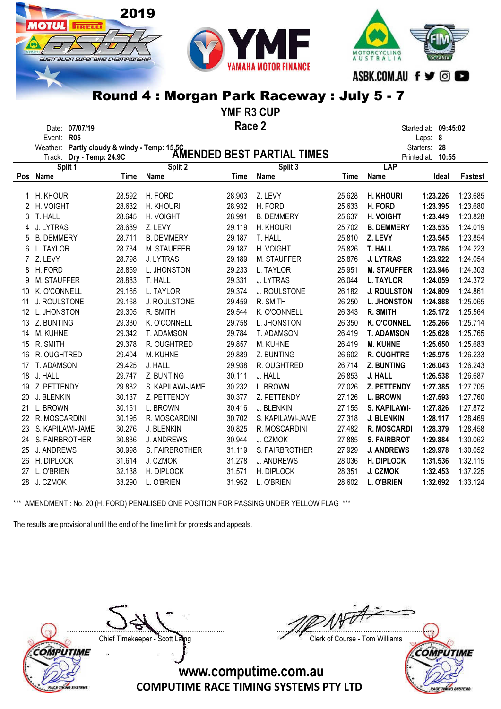



YMF R3 CUP

Race 2

Date: 07/07/19 Started at: 09:45:02 Event: R05 Laps: 8

|            |                                                                                                             |        |                    |        | Starters: 28      |        |                    |          |          |
|------------|-------------------------------------------------------------------------------------------------------------|--------|--------------------|--------|-------------------|--------|--------------------|----------|----------|
|            | Weather: Partly cloudy & windy - Temp: 15.5C<br>Treater Dry - Temp: 24.9C <b>AMENDED BEST PARTIAL TIMES</b> |        |                    |        | Printed at: 10:55 |        |                    |          |          |
|            | Split 1                                                                                                     |        | Split 2            |        | Split 3           |        | <b>LAP</b>         |          |          |
| <b>Pos</b> | Name                                                                                                        | Time   | Name               | Time   | <b>Name</b>       | Time   | Name               | Ideal    | Fastest  |
|            | H. KHOURI                                                                                                   | 28.592 | H. FORD            | 28.903 | Z. LEVY           | 25.628 | <b>H. KHOURI</b>   | 1:23.226 | 1:23.685 |
| 2          | H. VOIGHT                                                                                                   | 28.632 | H. KHOURI          | 28.932 | H. FORD           | 25.633 | H. FORD            | 1:23.395 | 1:23.680 |
| 3          | T. HALL                                                                                                     | 28.645 | H. VOIGHT          | 28.991 | <b>B. DEMMERY</b> | 25.637 | H. VOIGHT          | 1:23.449 | 1:23.828 |
| 4          | J. LYTRAS                                                                                                   | 28.689 | Z. LEVY            | 29.119 | H. KHOURI         | 25.702 | <b>B. DEMMERY</b>  | 1:23.535 | 1:24.019 |
| 5          | <b>B. DEMMERY</b>                                                                                           | 28.711 | <b>B. DEMMERY</b>  | 29.187 | T. HALL           | 25.810 | Z. LEVY            | 1:23.545 | 1:23.854 |
| 6          | L. TAYLOR                                                                                                   | 28.734 | <b>M. STAUFFER</b> | 29.187 | H. VOIGHT         | 25.826 | <b>T. HALL</b>     | 1:23.786 | 1:24.223 |
| 7          | Z. LEVY                                                                                                     | 28.798 | J. LYTRAS          | 29.189 | M. STAUFFER       | 25.876 | <b>J. LYTRAS</b>   | 1:23.922 | 1:24.054 |
| 8          | H. FORD                                                                                                     | 28.859 | L. JHONSTON        | 29.233 | L. TAYLOR         | 25.951 | <b>M. STAUFFER</b> | 1:23.946 | 1:24.303 |
| 9          | M. STAUFFER                                                                                                 | 28.883 | T. HALL            | 29.331 | J. LYTRAS         | 26.044 | <b>L. TAYLOR</b>   | 1:24.059 | 1:24.372 |
| 10         | K. O'CONNELL                                                                                                | 29.165 | L. TAYLOR          | 29.374 | J. ROULSTONE      | 26.182 | <b>J. ROULSTON</b> | 1:24.809 | 1:24.861 |
| 11         | J. ROULSTONE                                                                                                | 29.168 | J. ROULSTONE       | 29.459 | R. SMITH          | 26.250 | <b>L. JHONSTON</b> | 1:24.888 | 1:25.065 |
| 12         | L. JHONSTON                                                                                                 | 29.305 | R. SMITH           | 29.544 | K. O'CONNELL      | 26.343 | R. SMITH           | 1:25.172 | 1:25.564 |
| 13         | Z. BUNTING                                                                                                  | 29.330 | K. O'CONNELL       | 29.758 | L. JHONSTON       | 26.350 | <b>K. O'CONNEL</b> | 1:25.266 | 1:25.714 |
| 14         | M. KUHNE                                                                                                    | 29.342 | T. ADAMSON         | 29.784 | T. ADAMSON        | 26.419 | <b>T. ADAMSON</b>  | 1:25.628 | 1:25.765 |
| 15         | R. SMITH                                                                                                    | 29.378 | R. OUGHTRED        | 29.857 | M. KUHNE          | 26.419 | <b>M. KUHNE</b>    | 1:25.650 | 1:25.683 |
| 16         | R. OUGHTRED                                                                                                 | 29.404 | M. KUHNE           | 29.889 | Z. BUNTING        | 26.602 | <b>R. OUGHTRE</b>  | 1:25.975 | 1:26.233 |
| 17         | T. ADAMSON                                                                                                  | 29.425 | J. HALL            | 29.938 | R. OUGHTRED       | 26.714 | <b>Z. BUNTING</b>  | 1:26.043 | 1:26.243 |
| 18         | J. HALL                                                                                                     | 29.747 | Z. BUNTING         | 30.111 | J. HALL           | 26.853 | J. HALL            | 1:26.538 | 1:26.687 |
| 19         | Z. PETTENDY                                                                                                 | 29.882 | S. KAPILAWI-JAME   | 30.232 | L. BROWN          | 27.026 | Z. PETTENDY        | 1:27.385 | 1:27.705 |
| 20         | J. BLENKIN                                                                                                  | 30.137 | Z. PETTENDY        | 30.377 | Z. PETTENDY       | 27.126 | <b>L. BROWN</b>    | 1:27.593 | 1:27.760 |
| 21         | L. BROWN                                                                                                    | 30.151 | L. BROWN           | 30.416 | J. BLENKIN        | 27.155 | S. KAPILAWI-       | 1:27.826 | 1:27.872 |
| 22         | R. MOSCARDINI                                                                                               | 30.195 | R. MOSCARDINI      | 30.702 | S. KAPILAWI-JAME  | 27.318 | <b>J. BLENKIN</b>  | 1:28.117 | 1:28.469 |
| 23         | S. KAPILAWI-JAME                                                                                            | 30.276 | J. BLENKIN         | 30.825 | R. MOSCARDINI     | 27.482 | <b>R. MOSCARDI</b> | 1:28.379 | 1:28.458 |
| 24         | S. FAIRBROTHER                                                                                              | 30.836 | <b>J. ANDREWS</b>  | 30.944 | J. CZMOK          | 27.885 | <b>S. FAIRBROT</b> | 1:29.884 | 1:30.062 |
| 25         | J. ANDREWS                                                                                                  | 30.998 | S. FAIRBROTHER     | 31.119 | S. FAIRBROTHER    | 27.929 | <b>J. ANDREWS</b>  | 1:29.978 | 1:30.052 |
| 26         | H. DIPLOCK                                                                                                  | 31.614 | J. CZMOK           | 31.278 | <b>J. ANDREWS</b> | 28.036 | <b>H. DIPLOCK</b>  | 1:31.536 | 1:32.115 |
| 27         | L. O'BRIEN                                                                                                  | 32.138 | H. DIPLOCK         | 31.571 | H. DIPLOCK        | 28.351 | <b>J. CZMOK</b>    | 1:32.453 | 1:37.225 |
| 28         | J. CZMOK                                                                                                    | 33.290 | L. O'BRIEN         | 31.952 | L. O'BRIEN        | 28.602 | <b>L. O'BRIEN</b>  | 1:32.692 | 1:33.124 |
|            |                                                                                                             |        |                    |        |                   |        |                    |          |          |

\*\*\* AMENDMENT : No. 20 (H. FORD) PENALISED ONE POSITION FOR PASSING UNDER YELLOW FLAG \*\*\*

The results are provisional until the end of the time limit for protests and appeals.

2019

**IRELL** 

IUSTralian superaixe championskii

**OMPUTIME VO SYSTEM** 

Chief Timekeeper - Scott Laing Chief Timekeeper - Scott Laing

....................................................................................... .......................................................................................

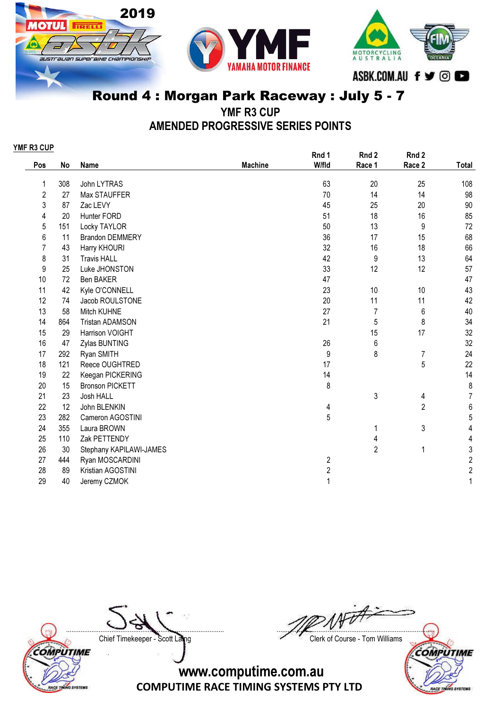





YMF R3 CUP

AMENDED PROGRESSIVE SERIES POINTS

| YMF R3 CUP     |     |                         |                |                  |                |                  |                         |
|----------------|-----|-------------------------|----------------|------------------|----------------|------------------|-------------------------|
|                |     |                         |                | Rnd 1            | Rnd 2          | Rnd 2            |                         |
| Pos            | No  | Name                    | <b>Machine</b> | W/fld            | Race 1         | Race 2           | Total                   |
| 1              | 308 | John LYTRAS             |                | 63               | 20             | 25               | 108                     |
| 2              | 27  | Max STAUFFER            |                | 70               | 14             | 14               | 98                      |
| 3              | 87  | Zac LEVY                |                | 45               | 25             | 20               | $90\,$                  |
| 4              | 20  | Hunter FORD             |                | 51               | 18             | 16               | 85                      |
| 5              | 151 | Locky TAYLOR            |                | 50               | 13             | 9                | 72                      |
| 6              | 11  | <b>Brandon DEMMERY</b>  |                | 36               | 17             | 15               | 68                      |
| $\overline{7}$ | 43  | Harry KHOURI            |                | 32               | 16             | 18               | 66                      |
| 8              | 31  | <b>Travis HALL</b>      |                | 42               | 9              | 13               | 64                      |
| 9              | 25  | Luke JHONSTON           |                | 33               | 12             | 12               | 57                      |
| 10             | 72  | Ben BAKER               |                | 47               |                |                  | 47                      |
| 11             | 42  | Kyle O'CONNELL          |                | 23               | 10             | 10               | 43                      |
| 12             | 74  | Jacob ROULSTONE         |                | 20               | 11             | 11               | 42                      |
| 13             | 58  | Mitch KUHNE             |                | 27               | $\overline{7}$ | $\boldsymbol{6}$ | 40                      |
| 14             | 864 | <b>Tristan ADAMSON</b>  |                | 21               | 5              | $\bf 8$          | 34                      |
| 15             | 29  | Harrison VOIGHT         |                |                  | 15             | 17               | 32                      |
| 16             | 47  | Zylas BUNTING           |                | 26               | $6\,$          |                  | 32                      |
| 17             | 292 | Ryan SMITH              |                | 9                | 8              | $\overline{7}$   | 24                      |
| 18             | 121 | Reece OUGHTRED          |                | 17               |                | 5                | 22                      |
| 19             | 22  | Keegan PICKERING        |                | 14               |                |                  | 14                      |
| 20             | 15  | <b>Bronson PICKETT</b>  |                | 8                |                |                  | 8                       |
| 21             | 23  | Josh HALL               |                |                  | 3              | 4                | $\overline{7}$          |
| 22             | 12  | John BLENKIN            |                | 4                |                | $\overline{2}$   | $\,6\,$                 |
| 23             | 282 | Cameron AGOSTINI        |                | 5                |                |                  | $\sqrt{5}$              |
| 24             | 355 | Laura BROWN             |                |                  | 1              | 3                | $\overline{\mathbf{4}}$ |
| 25             | 110 | Zak PETTENDY            |                |                  | 4              |                  | 4                       |
| 26             | 30  | Stephany KAPILAWI-JAMES |                |                  | $\overline{2}$ | 1                | $\sqrt{3}$              |
| 27             | 444 | Ryan MOSCARDINI         |                | $\boldsymbol{2}$ |                |                  | $\sqrt{2}$              |
| 28             | 89  | Kristian AGOSTINI       |                | $\overline{2}$   |                |                  | $\sqrt{2}$              |
| 29             | 40  | Jeremy CZMOK            |                | 1                |                |                  | 1                       |

COMPUTIME RACE TINING SYSTEMS

....................................................................................... ....................................................................................... Chief Timekeeper - Scott Laing Chief Timekeeper - Scott Laing COMPUTIME

**SYSTEMS** 

**RACE TE**